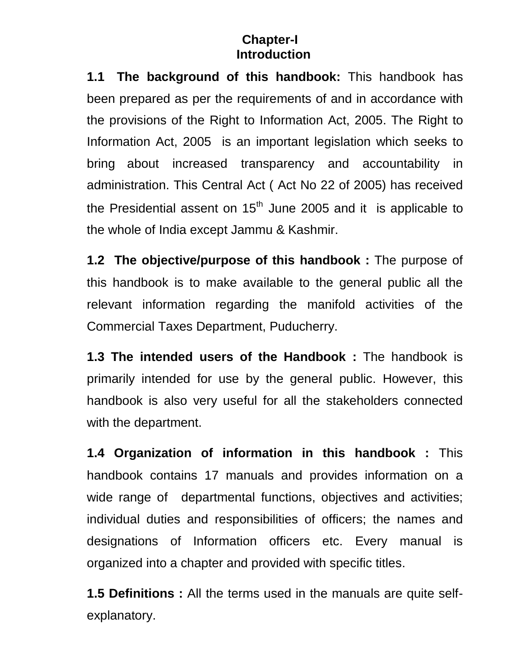## **Chapter-I Introduction**

**1.1 The background of this handbook:** This handbook has been prepared as per the requirements of and in accordance with the provisions of the Right to Information Act, 2005. The Right to Information Act, 2005 is an important legislation which seeks to bring about increased transparency and accountability in administration. This Central Act ( Act No 22 of 2005) has received the Presidential assent on  $15<sup>th</sup>$  June 2005 and it is applicable to the whole of India except Jammu & Kashmir.

**1.2 The objective/purpose of this handbook :** The purpose of this handbook is to make available to the general public all the relevant information regarding the manifold activities of the Commercial Taxes Department, Puducherry.

**1.3 The intended users of the Handbook :** The handbook is primarily intended for use by the general public. However, this handbook is also very useful for all the stakeholders connected with the department.

**1.4 Organization of information in this handbook :** This handbook contains 17 manuals and provides information on a wide range of departmental functions, objectives and activities; individual duties and responsibilities of officers; the names and designations of Information officers etc. Every manual is organized into a chapter and provided with specific titles.

**1.5 Definitions :** All the terms used in the manuals are quite selfexplanatory.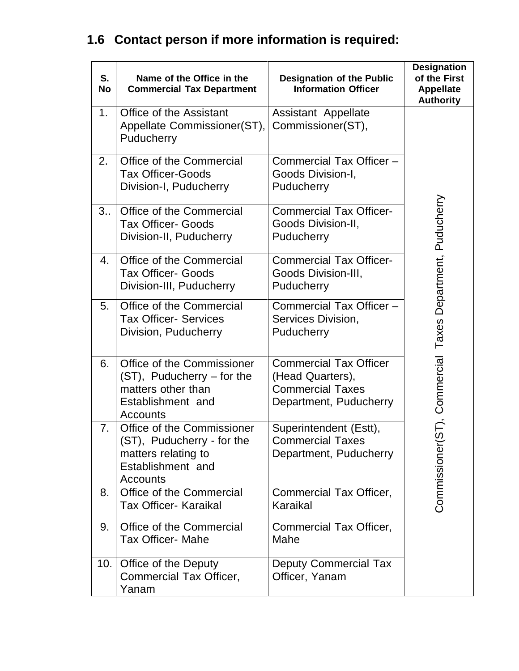## **1.6 Contact person if more information is required:**

| S.<br><b>No</b> | Name of the Office in the<br><b>Commercial Tax Department</b>                                                           | <b>Designation of the Public</b><br><b>Information Officer</b>                                         | <b>Designation</b><br>of the First<br><b>Appellate</b><br><b>Authority</b> |
|-----------------|-------------------------------------------------------------------------------------------------------------------------|--------------------------------------------------------------------------------------------------------|----------------------------------------------------------------------------|
| 1.              | Office of the Assistant<br>Appellate Commissioner(ST),<br>Puducherry                                                    | Assistant Appellate<br>Commissioner(ST),                                                               |                                                                            |
| 2.              | Office of the Commercial<br><b>Tax Officer-Goods</b><br>Division-I, Puducherry                                          | Commercial Tax Officer -<br>Goods Division-I,<br>Puducherry                                            |                                                                            |
| 3 <sub>1</sub>  | Office of the Commercial<br><b>Tax Officer- Goods</b><br>Division-II, Puducherry                                        | <b>Commercial Tax Officer-</b><br>Goods Division-II,<br>Puducherry                                     |                                                                            |
| 4.              | Office of the Commercial<br><b>Tax Officer- Goods</b><br>Division-III, Puducherry                                       | <b>Commercial Tax Officer-</b><br>Goods Division-III,<br>Puducherry                                    |                                                                            |
| 5.              | Office of the Commercial<br><b>Tax Officer- Services</b><br>Division, Puducherry                                        | Commercial Tax Officer -<br>Services Division,<br>Puducherry                                           |                                                                            |
| 6.              | Office of the Commissioner<br>(ST), Puducherry - for the<br>matters other than<br>Establishment and<br>Accounts         | <b>Commercial Tax Officer</b><br>(Head Quarters),<br><b>Commercial Taxes</b><br>Department, Puducherry | Commercial Taxes Department, Puducherry                                    |
| 7 <sub>1</sub>  | Office of the Commissioner<br>(ST), Puducherry - for the<br>matters relating to<br>Establishment and<br><b>Accounts</b> | Superintendent (Estt),<br><b>Commercial Taxes</b><br>Department, Puducherry                            | ြ<br>၁<br>Commissioner                                                     |
| 8.              | Office of the Commercial<br><b>Tax Officer- Karaikal</b>                                                                | Commercial Tax Officer,<br>Karaikal                                                                    |                                                                            |
| 9.              | Office of the Commercial<br><b>Tax Officer- Mahe</b>                                                                    | Commercial Tax Officer,<br>Mahe                                                                        |                                                                            |
| 10.             | Office of the Deputy<br>Commercial Tax Officer,<br>Yanam                                                                | <b>Deputy Commercial Tax</b><br>Officer, Yanam                                                         |                                                                            |